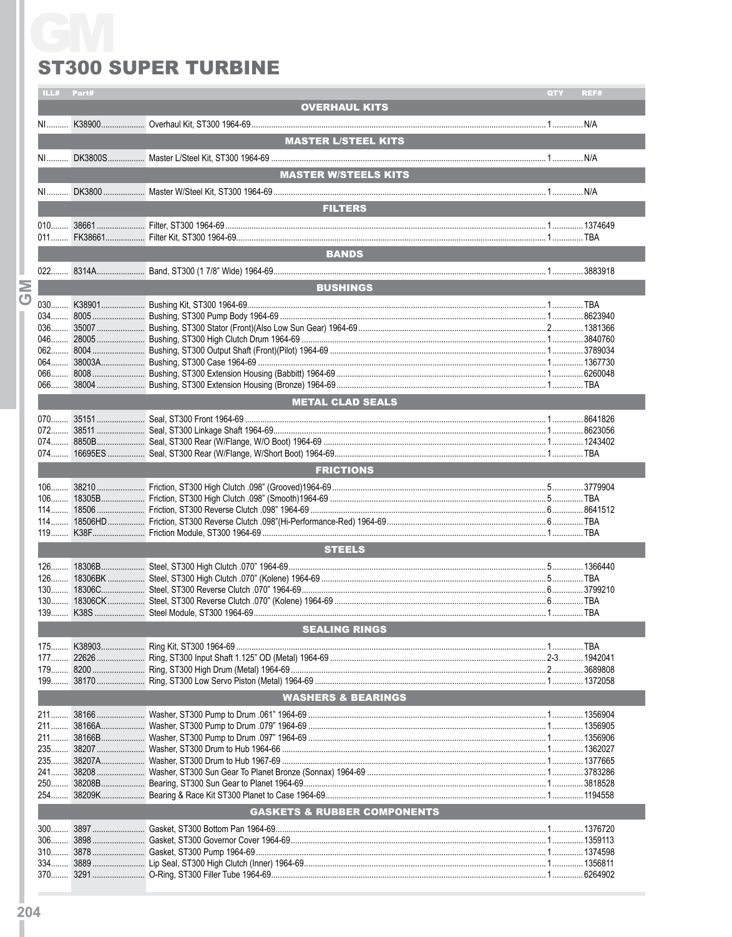## **ST300 SUPER TURBINE**

|                | ILL#                          | Part#  |                                        | QTY | REF# |  |  |  |  |  |
|----------------|-------------------------------|--------|----------------------------------------|-----|------|--|--|--|--|--|
|                |                               |        | <b>OVERHAUL KITS</b>                   |     |      |  |  |  |  |  |
|                |                               |        |                                        |     |      |  |  |  |  |  |
|                |                               |        |                                        |     |      |  |  |  |  |  |
|                |                               |        | <b>MASTER L/STEEL KITS</b>             |     |      |  |  |  |  |  |
|                |                               |        |                                        |     |      |  |  |  |  |  |
|                |                               |        |                                        |     |      |  |  |  |  |  |
|                |                               |        | <b>MASTER W/STEELS KITS</b>            |     |      |  |  |  |  |  |
|                |                               |        |                                        |     |      |  |  |  |  |  |
|                |                               |        |                                        |     |      |  |  |  |  |  |
|                |                               |        | <b>FILTERS</b>                         |     |      |  |  |  |  |  |
|                |                               |        |                                        |     |      |  |  |  |  |  |
|                |                               |        |                                        |     |      |  |  |  |  |  |
|                |                               |        |                                        |     |      |  |  |  |  |  |
|                |                               |        |                                        |     |      |  |  |  |  |  |
|                |                               |        | <b>BANDS</b>                           |     |      |  |  |  |  |  |
|                |                               |        |                                        |     |      |  |  |  |  |  |
|                |                               |        | <b>BUSHINGS</b>                        |     |      |  |  |  |  |  |
| Σ              |                               |        |                                        |     |      |  |  |  |  |  |
| $\overline{C}$ |                               |        |                                        |     |      |  |  |  |  |  |
|                |                               |        |                                        |     |      |  |  |  |  |  |
|                |                               |        |                                        |     |      |  |  |  |  |  |
|                |                               |        |                                        |     |      |  |  |  |  |  |
|                |                               |        |                                        |     |      |  |  |  |  |  |
|                |                               |        |                                        |     |      |  |  |  |  |  |
|                |                               |        |                                        |     |      |  |  |  |  |  |
|                |                               |        |                                        |     |      |  |  |  |  |  |
|                |                               |        |                                        |     |      |  |  |  |  |  |
|                |                               |        | <b>METAL CLAD SEALS</b>                |     |      |  |  |  |  |  |
|                |                               |        |                                        |     |      |  |  |  |  |  |
|                |                               |        |                                        |     |      |  |  |  |  |  |
|                |                               |        |                                        |     |      |  |  |  |  |  |
|                |                               |        |                                        |     |      |  |  |  |  |  |
|                |                               |        |                                        |     |      |  |  |  |  |  |
|                |                               |        | <b>FRICTIONS</b>                       |     |      |  |  |  |  |  |
|                |                               |        |                                        |     |      |  |  |  |  |  |
|                |                               |        |                                        |     |      |  |  |  |  |  |
|                |                               |        |                                        |     |      |  |  |  |  |  |
|                |                               |        |                                        |     |      |  |  |  |  |  |
|                |                               |        |                                        |     |      |  |  |  |  |  |
|                |                               |        |                                        |     |      |  |  |  |  |  |
|                |                               |        |                                        |     |      |  |  |  |  |  |
|                | <b>STEELS</b>                 |        |                                        |     |      |  |  |  |  |  |
|                |                               |        |                                        |     |      |  |  |  |  |  |
|                |                               |        |                                        |     |      |  |  |  |  |  |
|                |                               |        |                                        |     |      |  |  |  |  |  |
|                |                               |        |                                        |     |      |  |  |  |  |  |
|                |                               |        |                                        |     |      |  |  |  |  |  |
|                |                               |        |                                        |     |      |  |  |  |  |  |
|                | <b>SEALING RINGS</b>          |        |                                        |     |      |  |  |  |  |  |
|                | $175$                         | K38903 |                                        |     |      |  |  |  |  |  |
|                |                               |        |                                        |     |      |  |  |  |  |  |
|                |                               |        |                                        |     |      |  |  |  |  |  |
|                |                               |        |                                        |     |      |  |  |  |  |  |
|                |                               |        |                                        |     |      |  |  |  |  |  |
|                | <b>WASHERS &amp; BEARINGS</b> |        |                                        |     |      |  |  |  |  |  |
|                |                               |        |                                        |     |      |  |  |  |  |  |
|                |                               |        |                                        |     |      |  |  |  |  |  |
|                |                               |        |                                        |     |      |  |  |  |  |  |
|                |                               |        |                                        |     |      |  |  |  |  |  |
|                |                               |        |                                        |     |      |  |  |  |  |  |
|                |                               |        |                                        |     |      |  |  |  |  |  |
|                |                               |        |                                        |     |      |  |  |  |  |  |
|                |                               |        |                                        |     |      |  |  |  |  |  |
|                | $254$                         |        |                                        |     |      |  |  |  |  |  |
|                |                               |        | <b>GASKETS &amp; RUBBER COMPONENTS</b> |     |      |  |  |  |  |  |
|                |                               |        |                                        |     |      |  |  |  |  |  |
|                |                               |        |                                        |     |      |  |  |  |  |  |
|                |                               |        |                                        |     |      |  |  |  |  |  |
|                |                               |        |                                        |     |      |  |  |  |  |  |
|                |                               |        |                                        |     |      |  |  |  |  |  |
|                |                               |        |                                        |     |      |  |  |  |  |  |
|                |                               |        |                                        |     |      |  |  |  |  |  |